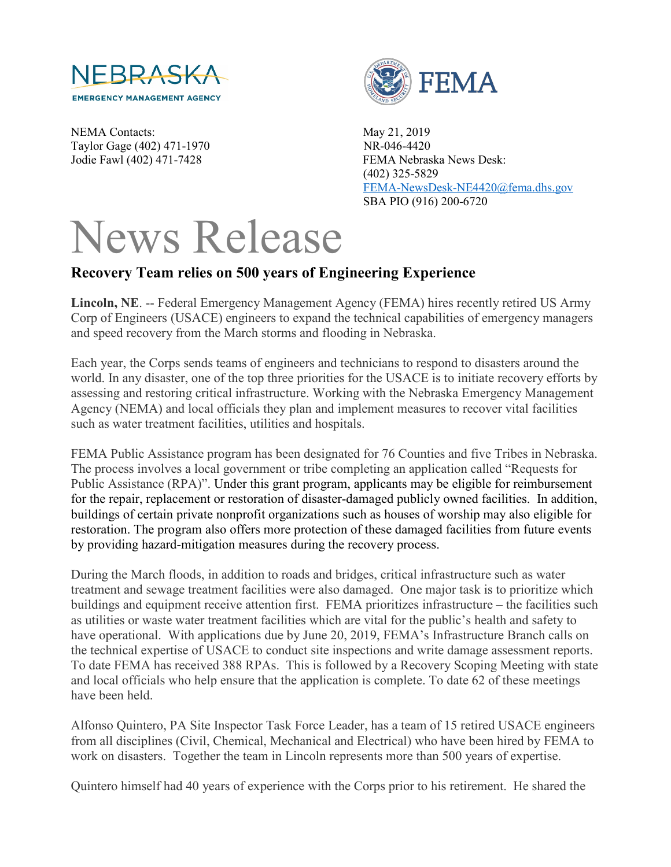

NEMA Contacts: May 21, 2019 Taylor Gage (402) 471-1970 NR-046-4420



Jodie Fawl (402) 471-7428 FEMA Nebraska News Desk: (402) 325-5829 [FEMA-NewsDesk-NE4420@fema.dhs.gov](mailto:FEMA-NewsDesk-NE4420@fema.dhs.gov) SBA PIO (916) 200-6720

## News Release

## **Recovery Team relies on 500 years of Engineering Experience**

**Lincoln, NE**. -- Federal Emergency Management Agency (FEMA) hires recently retired US Army Corp of Engineers (USACE) engineers to expand the technical capabilities of emergency managers and speed recovery from the March storms and flooding in Nebraska.

Each year, the Corps sends teams of engineers and technicians to respond to disasters around the world. In any disaster, one of the top three priorities for the USACE is to initiate recovery efforts by assessing and restoring critical infrastructure. Working with the Nebraska Emergency Management Agency (NEMA) and local officials they plan and implement measures to recover vital facilities such as water treatment facilities, utilities and hospitals.

FEMA Public Assistance program has been designated for 76 Counties and five Tribes in Nebraska. The process involves a local government or tribe completing an application called "Requests for Public Assistance (RPA)". Under this grant program, applicants may be eligible for reimbursement for the repair, replacement or restoration of disaster-damaged publicly owned facilities. In addition, buildings of certain private nonprofit organizations such as houses of worship may also eligible for restoration. The program also offers more protection of these damaged facilities from future events by providing hazard-mitigation measures during the recovery process.

During the March floods, in addition to roads and bridges, critical infrastructure such as water treatment and sewage treatment facilities were also damaged. One major task is to prioritize which buildings and equipment receive attention first. FEMA prioritizes infrastructure – the facilities such as utilities or waste water treatment facilities which are vital for the public's health and safety to have operational. With applications due by June 20, 2019, FEMA's Infrastructure Branch calls on the technical expertise of USACE to conduct site inspections and write damage assessment reports. To date FEMA has received 388 RPAs. This is followed by a Recovery Scoping Meeting with state and local officials who help ensure that the application is complete. To date 62 of these meetings have been held.

Alfonso Quintero, PA Site Inspector Task Force Leader, has a team of 15 retired USACE engineers from all disciplines (Civil, Chemical, Mechanical and Electrical) who have been hired by FEMA to work on disasters. Together the team in Lincoln represents more than 500 years of expertise.

Quintero himself had 40 years of experience with the Corps prior to his retirement. He shared the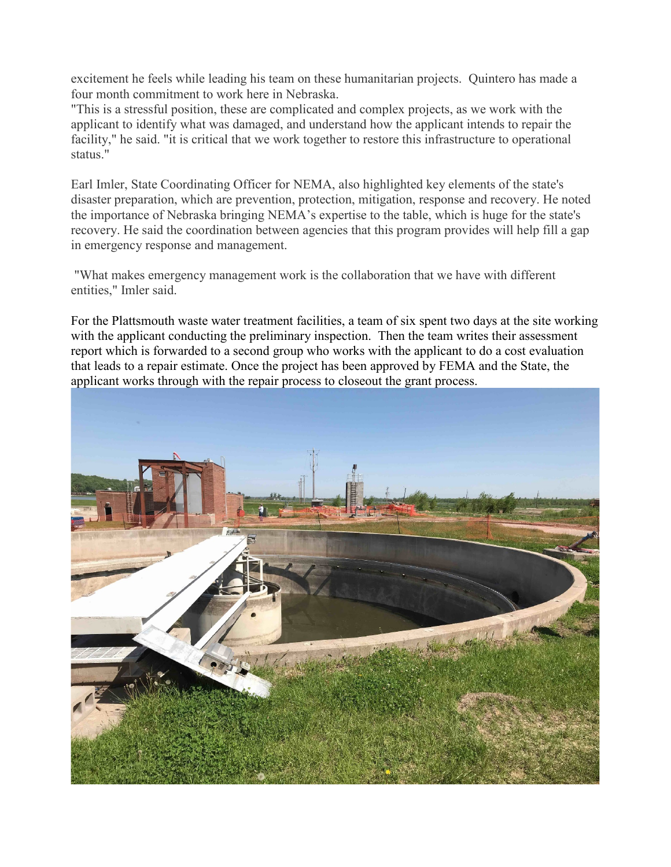excitement he feels while leading his team on these humanitarian projects. Quintero has made a four month commitment to work here in Nebraska.

"This is a stressful position, these are complicated and complex projects, as we work with the applicant to identify what was damaged, and understand how the applicant intends to repair the facility," he said. "it is critical that we work together to restore this infrastructure to operational status."

Earl Imler, State Coordinating Officer for NEMA, also highlighted key elements of the state's disaster preparation, which are prevention, protection, mitigation, response and recovery. He noted the importance of Nebraska bringing NEMA's expertise to the table, which is huge for the state's recovery. He said the coordination between agencies that this program provides will help fill a gap in emergency response and management.

"What makes emergency management work is the collaboration that we have with different entities," Imler said.

For the Plattsmouth waste water treatment facilities, a team of six spent two days at the site working with the applicant conducting the preliminary inspection. Then the team writes their assessment report which is forwarded to a second group who works with the applicant to do a cost evaluation that leads to a repair estimate. Once the project has been approved by FEMA and the State, the applicant works through with the repair process to closeout the grant process.